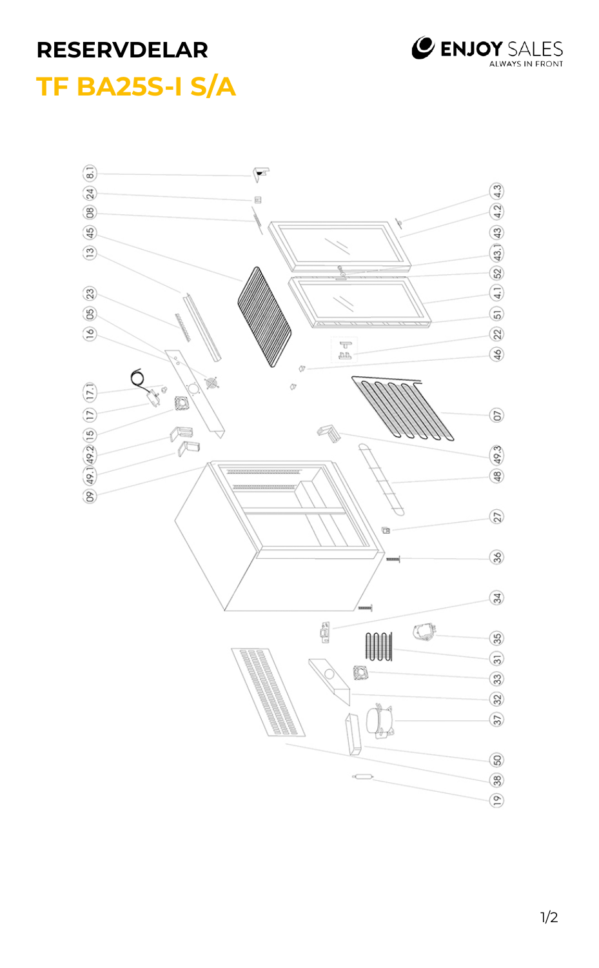

## **RESERVDELAR TF BA25S-I S/A**